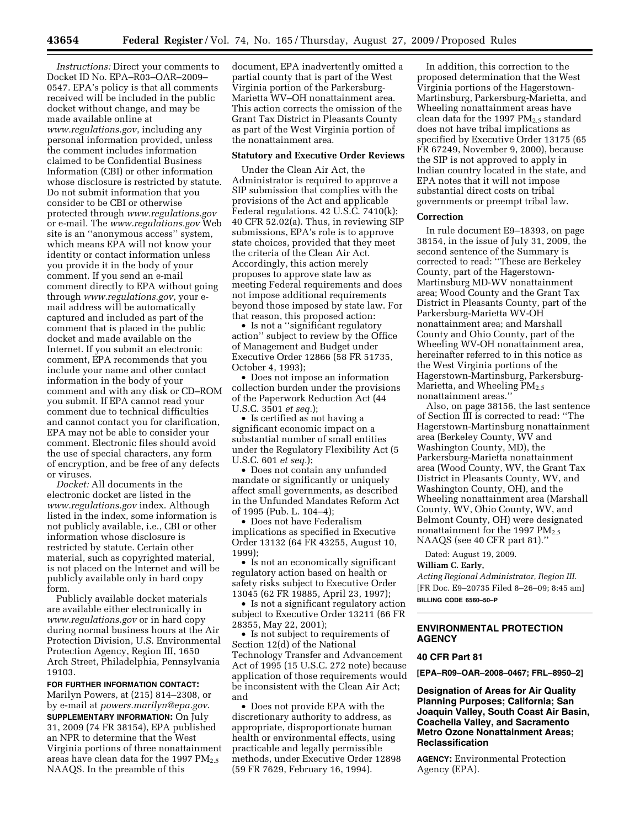*Instructions:* Direct your comments to Docket ID No. EPA–R03–OAR–2009– 0547. EPA's policy is that all comments received will be included in the public docket without change, and may be made available online at *[www.regulations.gov](http://www.regulations.gov)*, including any personal information provided, unless the comment includes information claimed to be Confidential Business Information (CBI) or other information whose disclosure is restricted by statute. Do not submit information that you consider to be CBI or otherwise protected through *[www.regulations.gov](http://www.regulations.gov)*  or e-mail. The *[www.regulations.gov](http://www.regulations.gov)* Web site is an ''anonymous access'' system, which means EPA will not know your identity or contact information unless you provide it in the body of your comment. If you send an e-mail comment directly to EPA without going through *[www.regulations.gov](http://www.regulations.gov)*, your email address will be automatically captured and included as part of the comment that is placed in the public docket and made available on the Internet. If you submit an electronic comment, EPA recommends that you include your name and other contact information in the body of your comment and with any disk or CD–ROM you submit. If EPA cannot read your comment due to technical difficulties and cannot contact you for clarification, EPA may not be able to consider your comment. Electronic files should avoid the use of special characters, any form of encryption, and be free of any defects or viruses.

*Docket:* All documents in the electronic docket are listed in the *[www.regulations.gov](http://www.regulations.gov)* index. Although listed in the index, some information is not publicly available, i.e., CBI or other information whose disclosure is restricted by statute. Certain other material, such as copyrighted material, is not placed on the Internet and will be publicly available only in hard copy form.

Publicly available docket materials are available either electronically in *[www.regulations.gov](http://www.regulations.gov)* or in hard copy during normal business hours at the Air Protection Division, U.S. Environmental Protection Agency, Region III, 1650 Arch Street, Philadelphia, Pennsylvania 19103.

**FOR FURTHER INFORMATION CONTACT:**  Marilyn Powers, at (215) 814–2308, or by e-mail at *[powers.marilyn@epa.gov](mailto:powers.marilyn@epa.gov)*. **SUPPLEMENTARY INFORMATION:** On July 31, 2009 (74 FR 38154), EPA published an NPR to determine that the West Virginia portions of three nonattainment areas have clean data for the 1997  $PM_{2.5}$ NAAQS. In the preamble of this

document, EPA inadvertently omitted a partial county that is part of the West Virginia portion of the Parkersburg-Marietta WV–OH nonattainment area. This action corrects the omission of the Grant Tax District in Pleasants County as part of the West Virginia portion of the nonattainment area.

#### **Statutory and Executive Order Reviews**

Under the Clean Air Act, the Administrator is required to approve a SIP submission that complies with the provisions of the Act and applicable Federal regulations. 42 U.S.C. 7410(k); 40 CFR 52.02(a). Thus, in reviewing SIP submissions, EPA's role is to approve state choices, provided that they meet the criteria of the Clean Air Act. Accordingly, this action merely proposes to approve state law as meeting Federal requirements and does not impose additional requirements beyond those imposed by state law. For that reason, this proposed action:

• Is not a ''significant regulatory action'' subject to review by the Office of Management and Budget under Executive Order 12866 (58 FR 51735, October 4, 1993);

• Does not impose an information collection burden under the provisions of the Paperwork Reduction Act (44 U.S.C. 3501 *et seq.*);

• Is certified as not having a significant economic impact on a substantial number of small entities under the Regulatory Flexibility Act (5 U.S.C. 601 *et seq.*);

• Does not contain any unfunded mandate or significantly or uniquely affect small governments, as described in the Unfunded Mandates Reform Act of 1995 (Pub. L. 104–4);

• Does not have Federalism implications as specified in Executive Order 13132 (64 FR 43255, August 10, 1999);

• Is not an economically significant regulatory action based on health or safety risks subject to Executive Order 13045 (62 FR 19885, April 23, 1997);

• Is not a significant regulatory action subject to Executive Order 13211 (66 FR 28355, May 22, 2001);

• Is not subject to requirements of Section 12(d) of the National Technology Transfer and Advancement Act of 1995 (15 U.S.C. 272 note) because application of those requirements would be inconsistent with the Clean Air Act; and

• Does not provide EPA with the discretionary authority to address, as appropriate, disproportionate human health or environmental effects, using practicable and legally permissible methods, under Executive Order 12898 (59 FR 7629, February 16, 1994).

In addition, this correction to the proposed determination that the West Virginia portions of the Hagerstown-Martinsburg, Parkersburg-Marietta, and Wheeling nonattainment areas have clean data for the 1997  $PM_{2.5}$  standard does not have tribal implications as specified by Executive Order 13175 (65 FR 67249, November 9, 2000), because the SIP is not approved to apply in Indian country located in the state, and EPA notes that it will not impose substantial direct costs on tribal governments or preempt tribal law.

#### **Correction**

In rule document E9–18393, on page 38154, in the issue of July 31, 2009, the second sentence of the Summary is corrected to read: ''These are Berkeley County, part of the Hagerstown-Martinsburg MD-WV nonattainment area; Wood County and the Grant Tax District in Pleasants County, part of the Parkersburg-Marietta WV-OH nonattainment area; and Marshall County and Ohio County, part of the Wheeling WV-OH nonattainment area, hereinafter referred to in this notice as the West Virginia portions of the Hagerstown-Martinsburg, Parkersburg-Marietta, and Wheeling PM<sub>2.5</sub> nonattainment areas.''

Also, on page 38156, the last sentence of Section III is corrected to read: ''The Hagerstown-Martinsburg nonattainment area (Berkeley County, WV and Washington County, MD), the Parkersburg-Marietta nonattainment area (Wood County, WV, the Grant Tax District in Pleasants County, WV, and Washington County, OH), and the Wheeling nonattainment area (Marshall County, WV, Ohio County, WV, and Belmont County, OH) were designated nonattainment for the 1997  $PM_{2.5}$ NAAQS (see 40 CFR part 81).''

Dated: August 19, 2009.

## **William C. Early,**

*Acting Regional Administrator, Region III.*  [FR Doc. E9–20735 Filed 8–26–09; 8:45 am] **BILLING CODE 6560–50–P** 

## **ENVIRONMENTAL PROTECTION AGENCY**

### **40 CFR Part 81**

**[EPA–R09–OAR–2008–0467; FRL–8950–2]** 

**Designation of Areas for Air Quality Planning Purposes; California; San Joaquin Valley, South Coast Air Basin, Coachella Valley, and Sacramento Metro Ozone Nonattainment Areas; Reclassification** 

**AGENCY:** Environmental Protection Agency (EPA).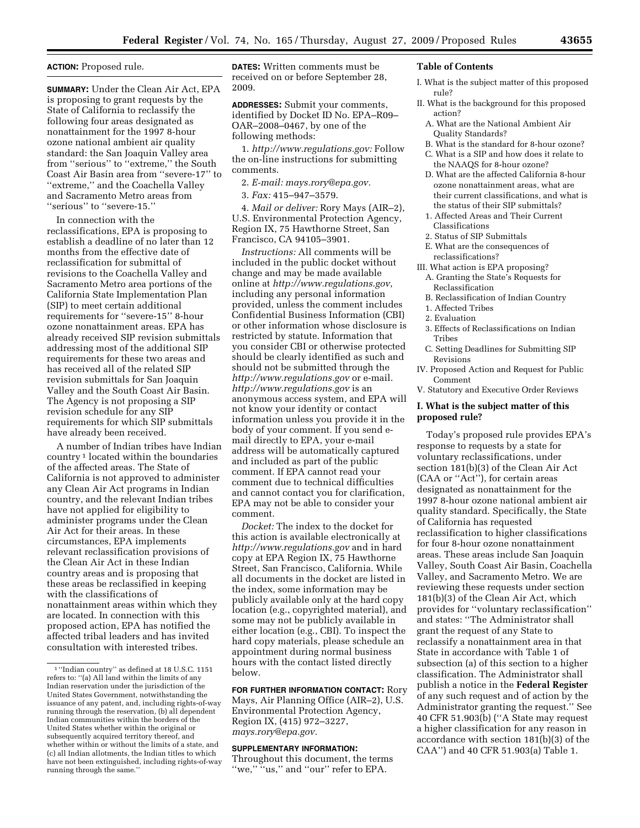#### **ACTION:** Proposed rule.

**SUMMARY:** Under the Clean Air Act, EPA is proposing to grant requests by the State of California to reclassify the following four areas designated as nonattainment for the 1997 8-hour ozone national ambient air quality standard: the San Joaquin Valley area from "serious" to "extreme," the South Coast Air Basin area from ''severe-17'' to ''extreme,'' and the Coachella Valley and Sacramento Metro areas from ''serious'' to ''severe-15.''

In connection with the reclassifications, EPA is proposing to establish a deadline of no later than 12 months from the effective date of reclassification for submittal of revisions to the Coachella Valley and Sacramento Metro area portions of the California State Implementation Plan (SIP) to meet certain additional requirements for ''severe-15'' 8-hour ozone nonattainment areas. EPA has already received SIP revision submittals addressing most of the additional SIP requirements for these two areas and has received all of the related SIP revision submittals for San Joaquin Valley and the South Coast Air Basin. The Agency is not proposing a SIP revision schedule for any SIP requirements for which SIP submittals have already been received.

A number of Indian tribes have Indian country 1 located within the boundaries of the affected areas. The State of California is not approved to administer any Clean Air Act programs in Indian country, and the relevant Indian tribes have not applied for eligibility to administer programs under the Clean Air Act for their areas. In these circumstances, EPA implements relevant reclassification provisions of the Clean Air Act in these Indian country areas and is proposing that these areas be reclassified in keeping with the classifications of nonattainment areas within which they are located. In connection with this proposed action, EPA has notified the affected tribal leaders and has invited consultation with interested tribes.

**DATES:** Written comments must be received on or before September 28, 2009.

**ADDRESSES:** Submit your comments, identified by Docket ID No. EPA–R09– OAR–2008–0467, by one of the following methods:

1. *<http://www.regulations.gov:>*Follow the on-line instructions for submitting comments.

2. *E-mail: [mays.rory@epa.gov.](mailto:mays.rory@epa.gov)* 

3. *Fax:* 415–947–3579.

4. *Mail or deliver:* Rory Mays (AIR–2), U.S. Environmental Protection Agency, Region IX, 75 Hawthorne Street, San Francisco, CA 94105–3901.

*Instructions:* All comments will be included in the public docket without change and may be made available online at *<http://www.regulations.gov>*, including any personal information provided, unless the comment includes Confidential Business Information (CBI) or other information whose disclosure is restricted by statute. Information that you consider CBI or otherwise protected should be clearly identified as such and should not be submitted through the *<http://www.regulations.gov>*or e-mail. *<http://www.regulations.gov>*is an anonymous access system, and EPA will not know your identity or contact information unless you provide it in the body of your comment. If you send email directly to EPA, your e-mail address will be automatically captured and included as part of the public comment. If EPA cannot read your comment due to technical difficulties and cannot contact you for clarification, EPA may not be able to consider your comment.

*Docket:* The index to the docket for this action is available electronically at *<http://www.regulations.gov>*and in hard copy at EPA Region IX, 75 Hawthorne Street, San Francisco, California. While all documents in the docket are listed in the index, some information may be publicly available only at the hard copy location (e.g., copyrighted material), and some may not be publicly available in either location (e.g., CBI). To inspect the hard copy materials, please schedule an appointment during normal business hours with the contact listed directly below.

**FOR FURTHER INFORMATION CONTACT:** Rory Mays, Air Planning Office (AIR–2), U.S. Environmental Protection Agency, Region IX, (415) 972–3227, *[mays.rory@epa.gov.](mailto:mays.rory@epa.gov)* 

## **SUPPLEMENTARY INFORMATION:**

Throughout this document, the terms "we," "us," and "our" refer to EPA.

## **Table of Contents**

- I. What is the subject matter of this proposed rule?
- II. What is the background for this proposed action?
	- A. What are the National Ambient Air Quality Standards?
	- B. What is the standard for 8-hour ozone?
- C. What is a SIP and how does it relate to the NAAQS for 8-hour ozone?
- D. What are the affected California 8-hour ozone nonattainment areas, what are their current classifications, and what is the status of their SIP submittals?
- 1. Affected Areas and Their Current Classifications
- 2. Status of SIP Submittals
- E. What are the consequences of reclassifications?
- III. What action is EPA proposing?
	- A. Granting the State's Requests for Reclassification
	- B. Reclassification of Indian Country
- 1. Affected Tribes
- 2. Evaluation
- 3. Effects of Reclassifications on Indian Tribes
- C. Setting Deadlines for Submitting SIP Revisions
- IV. Proposed Action and Request for Public Comment
- V. Statutory and Executive Order Reviews

## **I. What is the subject matter of this proposed rule?**

Today's proposed rule provides EPA's response to requests by a state for voluntary reclassifications, under section 181(b)(3) of the Clean Air Act (CAA or ''Act''), for certain areas designated as nonattainment for the 1997 8-hour ozone national ambient air quality standard. Specifically, the State of California has requested reclassification to higher classifications for four 8-hour ozone nonattainment areas. These areas include San Joaquin Valley, South Coast Air Basin, Coachella Valley, and Sacramento Metro. We are reviewing these requests under section 181(b)(3) of the Clean Air Act, which provides for ''voluntary reclassification'' and states: ''The Administrator shall grant the request of any State to reclassify a nonattainment area in that State in accordance with Table 1 of subsection (a) of this section to a higher classification. The Administrator shall publish a notice in the **Federal Register**  of any such request and of action by the Administrator granting the request.'' See 40 CFR 51.903(b) (''A State may request a higher classification for any reason in accordance with section 181(b)(3) of the CAA'') and 40 CFR 51.903(a) Table 1.

<sup>1</sup> ''Indian country'' as defined at 18 U.S.C. 1151 refers to: ''(a) All land within the limits of any Indian reservation under the jurisdiction of the United States Government, notwithstanding the issuance of any patent, and, including rights-of-way running through the reservation, (b) all dependent Indian communities within the borders of the United States whether within the original or subsequently acquired territory thereof, and whether within or without the limits of a state, and (c) all Indian allotments, the Indian titles to which have not been extinguished, including rights-of-way running through the same.''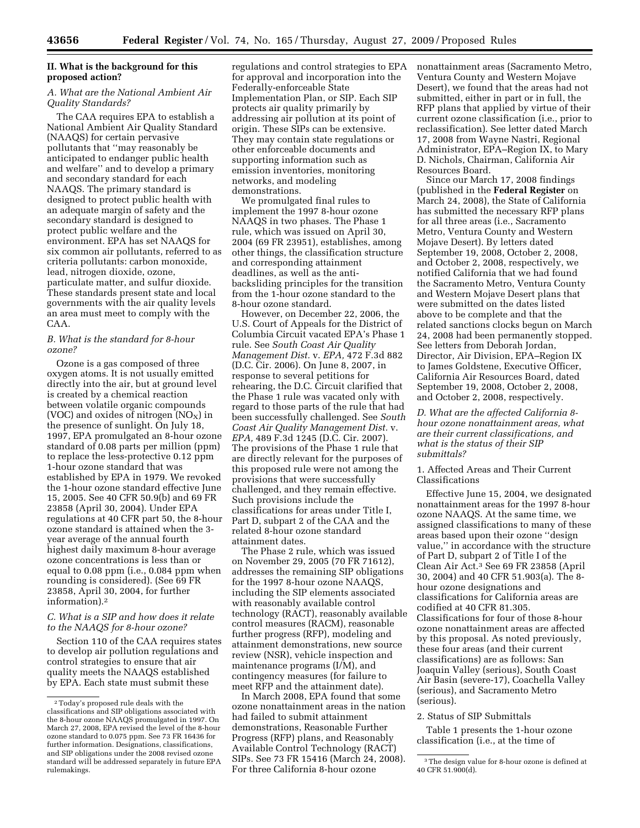# **II. What is the background for this proposed action?**

### *A. What are the National Ambient Air Quality Standards?*

The CAA requires EPA to establish a National Ambient Air Quality Standard (NAAQS) for certain pervasive pollutants that ''may reasonably be anticipated to endanger public health and welfare'' and to develop a primary and secondary standard for each NAAQS. The primary standard is designed to protect public health with an adequate margin of safety and the secondary standard is designed to protect public welfare and the environment. EPA has set NAAQS for six common air pollutants, referred to as criteria pollutants: carbon monoxide, lead, nitrogen dioxide, ozone, particulate matter, and sulfur dioxide. These standards present state and local governments with the air quality levels an area must meet to comply with the CAA.

## *B. What is the standard for 8-hour ozone?*

Ozone is a gas composed of three oxygen atoms. It is not usually emitted directly into the air, but at ground level is created by a chemical reaction between volatile organic compounds (VOC) and oxides of nitrogen  $(NO<sub>X</sub>)$  in the presence of sunlight. On July 18, 1997, EPA promulgated an 8-hour ozone standard of 0.08 parts per million (ppm) to replace the less-protective 0.12 ppm 1-hour ozone standard that was established by EPA in 1979. We revoked the 1-hour ozone standard effective June 15, 2005. See 40 CFR 50.9(b) and 69 FR 23858 (April 30, 2004). Under EPA regulations at 40 CFR part 50, the 8-hour ozone standard is attained when the 3 year average of the annual fourth highest daily maximum 8-hour average ozone concentrations is less than or equal to 0.08 ppm (i.e., 0.084 ppm when rounding is considered). (See 69 FR 23858, April 30, 2004, for further information).2

#### *C. What is a SIP and how does it relate to the NAAQS for 8-hour ozone?*

Section 110 of the CAA requires states to develop air pollution regulations and control strategies to ensure that air quality meets the NAAQS established by EPA. Each state must submit these

regulations and control strategies to EPA for approval and incorporation into the Federally-enforceable State Implementation Plan, or SIP. Each SIP protects air quality primarily by addressing air pollution at its point of origin. These SIPs can be extensive. They may contain state regulations or other enforceable documents and supporting information such as emission inventories, monitoring networks, and modeling demonstrations.

We promulgated final rules to implement the 1997 8-hour ozone NAAQS in two phases. The Phase 1 rule, which was issued on April 30, 2004 (69 FR 23951), establishes, among other things, the classification structure and corresponding attainment deadlines, as well as the antibacksliding principles for the transition from the 1-hour ozone standard to the 8-hour ozone standard.

However, on December 22, 2006, the U.S. Court of Appeals for the District of Columbia Circuit vacated EPA's Phase 1 rule. See *South Coast Air Quality Management Dist.* v. *EPA,* 472 F.3d 882 (D.C. Cir. 2006). On June 8, 2007, in response to several petitions for rehearing, the D.C. Circuit clarified that the Phase 1 rule was vacated only with regard to those parts of the rule that had been successfully challenged. See *South Coast Air Quality Management Dist.* v. *EPA,* 489 F.3d 1245 (D.C. Cir. 2007). The provisions of the Phase 1 rule that are directly relevant for the purposes of this proposed rule were not among the provisions that were successfully challenged, and they remain effective. Such provisions include the classifications for areas under Title I, Part D, subpart 2 of the CAA and the related 8-hour ozone standard attainment dates.

The Phase 2 rule, which was issued on November 29, 2005 (70 FR 71612), addresses the remaining SIP obligations for the 1997 8-hour ozone NAAQS, including the SIP elements associated with reasonably available control technology (RACT), reasonably available control measures (RACM), reasonable further progress (RFP), modeling and attainment demonstrations, new source review (NSR), vehicle inspection and maintenance programs (I/M), and contingency measures (for failure to meet RFP and the attainment date).

In March 2008, EPA found that some ozone nonattainment areas in the nation had failed to submit attainment demonstrations, Reasonable Further Progress (RFP) plans, and Reasonably Available Control Technology (RACT) SIPs. See 73 FR 15416 (March 24, 2008). For three California 8-hour ozone

nonattainment areas (Sacramento Metro, Ventura County and Western Mojave Desert), we found that the areas had not submitted, either in part or in full, the RFP plans that applied by virtue of their current ozone classification (i.e., prior to reclassification). See letter dated March 17, 2008 from Wayne Nastri, Regional Administrator, EPA–Region IX, to Mary D. Nichols, Chairman, California Air Resources Board.

Since our March 17, 2008 findings (published in the **Federal Register** on March 24, 2008), the State of California has submitted the necessary RFP plans for all three areas (i.e., Sacramento Metro, Ventura County and Western Mojave Desert). By letters dated September 19, 2008, October 2, 2008, and October 2, 2008, respectively, we notified California that we had found the Sacramento Metro, Ventura County and Western Mojave Desert plans that were submitted on the dates listed above to be complete and that the related sanctions clocks begun on March 24, 2008 had been permanently stopped. See letters from Deborah Jordan, Director, Air Division, EPA–Region IX to James Goldstene, Executive Officer, California Air Resources Board, dated September 19, 2008, October 2, 2008, and October 2, 2008, respectively.

*D. What are the affected California 8 hour ozone nonattainment areas, what are their current classifications, and what is the status of their SIP submittals?* 

### 1. Affected Areas and Their Current Classifications

Effective June 15, 2004, we designated nonattainment areas for the 1997 8-hour ozone NAAQS. At the same time, we assigned classifications to many of these areas based upon their ozone ''design value,'' in accordance with the structure of Part D, subpart 2 of Title I of the Clean Air Act.3 See 69 FR 23858 (April 30, 2004) and 40 CFR 51.903(a). The 8 hour ozone designations and classifications for California areas are codified at 40 CFR 81.305. Classifications for four of those 8-hour ozone nonattainment areas are affected by this proposal. As noted previously, these four areas (and their current classifications) are as follows: San Joaquin Valley (serious), South Coast Air Basin (severe-17), Coachella Valley (serious), and Sacramento Metro (serious).

#### 2. Status of SIP Submittals

Table 1 presents the 1-hour ozone classification (i.e., at the time of

<sup>2</sup>Today's proposed rule deals with the classifications and SIP obligations associated with the 8-hour ozone NAAQS promulgated in 1997. On March 27, 2008, EPA revised the level of the 8-hour ozone standard to 0.075 ppm. See 73 FR 16436 for further information. Designations, classifications, and SIP obligations under the 2008 revised ozone standard will be addressed separately in future EPA rulemakings.

<sup>3</sup>The design value for 8-hour ozone is defined at 40 CFR 51.900(d).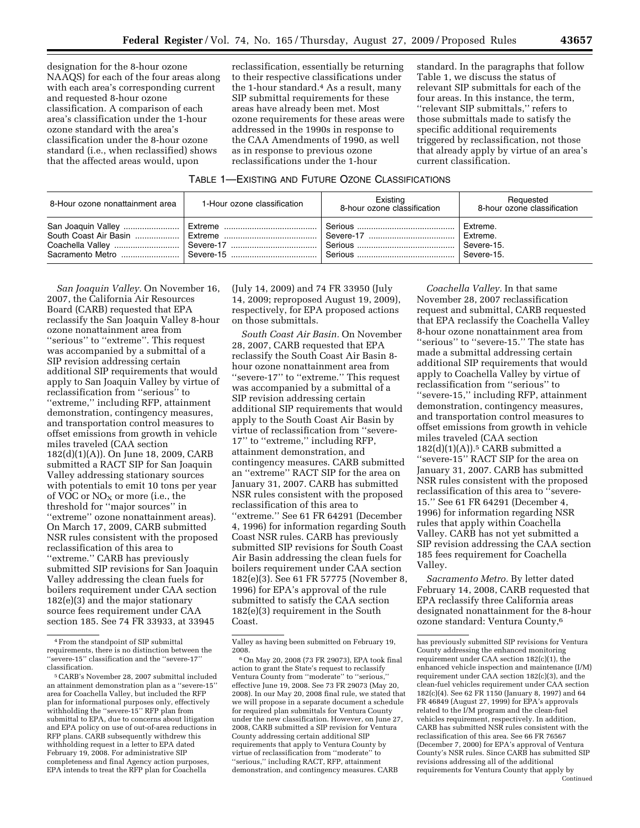designation for the 8-hour ozone NAAQS) for each of the four areas along with each area's corresponding current and requested 8-hour ozone classification. A comparison of each area's classification under the 1-hour ozone standard with the area's classification under the 8-hour ozone standard (i.e., when reclassified) shows that the affected areas would, upon

reclassification, essentially be returning to their respective classifications under the 1-hour standard.4 As a result, many SIP submittal requirements for these areas have already been met. Most ozone requirements for these areas were addressed in the 1990s in response to the CAA Amendments of 1990, as well as in response to previous ozone reclassifications under the 1-hour

standard. In the paragraphs that follow Table 1, we discuss the status of relevant SIP submittals for each of the four areas. In this instance, the term, ''relevant SIP submittals,'' refers to those submittals made to satisfy the specific additional requirements triggered by reclassification, not those that already apply by virtue of an area's current classification.

# TABLE 1—EXISTING AND FUTURE OZONE CLASSIFICATIONS

| 8-Hour ozone nonattainment area | 1-Hour ozone classification | Existing<br>8-hour ozone classification | Requested<br>8-hour ozone classification |
|---------------------------------|-----------------------------|-----------------------------------------|------------------------------------------|
|                                 |                             |                                         | Extreme.                                 |
|                                 |                             |                                         | Extreme.                                 |
|                                 |                             |                                         | Severe-15.                               |
|                                 |                             |                                         | Severe-15.                               |

*San Joaquin Valley.* On November 16, 2007, the California Air Resources Board (CARB) requested that EPA reclassify the San Joaquin Valley 8-hour ozone nonattainment area from ''serious'' to ''extreme''. This request was accompanied by a submittal of a SIP revision addressing certain additional SIP requirements that would apply to San Joaquin Valley by virtue of reclassification from ''serious'' to ''extreme,'' including RFP, attainment demonstration, contingency measures, and transportation control measures to offset emissions from growth in vehicle miles traveled (CAA section 182(d)(1)(A)). On June 18, 2009, CARB submitted a RACT SIP for San Joaquin Valley addressing stationary sources with potentials to emit 10 tons per year of VOC or  $NO<sub>X</sub>$  or more (i.e., the threshold for ''major sources'' in ''extreme'' ozone nonattainment areas). On March 17, 2009, CARB submitted NSR rules consistent with the proposed reclassification of this area to ''extreme.'' CARB has previously submitted SIP revisions for San Joaquin Valley addressing the clean fuels for boilers requirement under CAA section 182(e)(3) and the major stationary source fees requirement under CAA section 185. See 74 FR 33933, at 33945

(July 14, 2009) and 74 FR 33950 (July 14, 2009; reproposed August 19, 2009), respectively, for EPA proposed actions on those submittals.

*South Coast Air Basin.* On November 28, 2007, CARB requested that EPA reclassify the South Coast Air Basin 8 hour ozone nonattainment area from ''severe-17'' to ''extreme.'' This request was accompanied by a submittal of a SIP revision addressing certain additional SIP requirements that would apply to the South Coast Air Basin by virtue of reclassification from ''severe-17'' to ''extreme,'' including RFP, attainment demonstration, and contingency measures. CARB submitted an ''extreme'' RACT SIP for the area on January 31, 2007. CARB has submitted NSR rules consistent with the proposed reclassification of this area to ''extreme.'' See 61 FR 64291 (December 4, 1996) for information regarding South Coast NSR rules. CARB has previously submitted SIP revisions for South Coast Air Basin addressing the clean fuels for boilers requirement under CAA section 182(e)(3). See 61 FR 57775 (November 8, 1996) for EPA's approval of the rule submitted to satisfy the CAA section 182(e)(3) requirement in the South Coast.

*Coachella Valley.* In that same November 28, 2007 reclassification request and submittal, CARB requested that EPA reclassify the Coachella Valley 8-hour ozone nonattainment area from "serious" to "severe-15." The state has made a submittal addressing certain additional SIP requirements that would apply to Coachella Valley by virtue of reclassification from ''serious'' to ''severe-15,'' including RFP, attainment demonstration, contingency measures, and transportation control measures to offset emissions from growth in vehicle miles traveled (CAA section  $182(d)(1)(A)$ .<sup>5</sup> CARB submitted a ''severe-15'' RACT SIP for the area on January 31, 2007. CARB has submitted NSR rules consistent with the proposed reclassification of this area to ''severe-15.'' See 61 FR 64291 (December 4, 1996) for information regarding NSR rules that apply within Coachella Valley. CARB has not yet submitted a SIP revision addressing the CAA section 185 fees requirement for Coachella Valley.

*Sacramento Metro.* By letter dated February 14, 2008, CARB requested that EPA reclassify three California areas designated nonattainment for the 8-hour ozone standard: Ventura County,6

<sup>4</sup>From the standpoint of SIP submittal requirements, there is no distinction between the ''severe-15'' classification and the ''severe-17'' classification.

<sup>5</sup>CARB's November 28, 2007 submittal included an attainment demonstration plan as a ''severe-15'' area for Coachella Valley, but included the RFP plan for informational purposes only, effectively withholding the ''severe-15'' RFP plan from submittal to EPA, due to concerns about litigation and EPA policy on use of out-of-area reductions in RFP plans. CARB subsequently withdrew this withholding request in a letter to EPA dated February 19, 2008. For administrative SIP completeness and final Agency action purposes, EPA intends to treat the RFP plan for Coachella

Valley as having been submitted on February 19, 2008.

<sup>6</sup>On May 20, 2008 (73 FR 29073), EPA took final action to grant the State's request to reclassify Ventura County from ''moderate'' to ''serious,'' effective June 19, 2008. See 73 FR 29073 (May 20, 2008). In our May 20, 2008 final rule, we stated that we will propose in a separate document a schedule for required plan submittals for Ventura County under the new classification. However, on June 27, 2008, CARB submitted a SIP revision for Ventura County addressing certain additional SIP requirements that apply to Ventura County by virtue of reclassification from ''moderate'' to ''serious,'' including RACT, RFP, attainment demonstration, and contingency measures. CARB

has previously submitted SIP revisions for Ventura County addressing the enhanced monitoring requirement under CAA section 182(c)(1), the enhanced vehicle inspection and maintenance (I/M) requirement under  $CAA$  section 182 $(c)(3)$ , and the clean-fuel vehicles requirement under CAA section 182(c)(4). See 62 FR 1150 (January 8, 1997) and 64 FR 46849 (August 27, 1999) for EPA's approvals related to the I/M program and the clean-fuel vehicles requirement, respectively. In addition, CARB has submitted NSR rules consistent with the reclassification of this area. See 66 FR 76567 (December 7, 2000) for EPA's approval of Ventura County's NSR rules. Since CARB has submitted SIP revisions addressing all of the additional requirements for Ventura County that apply by Continued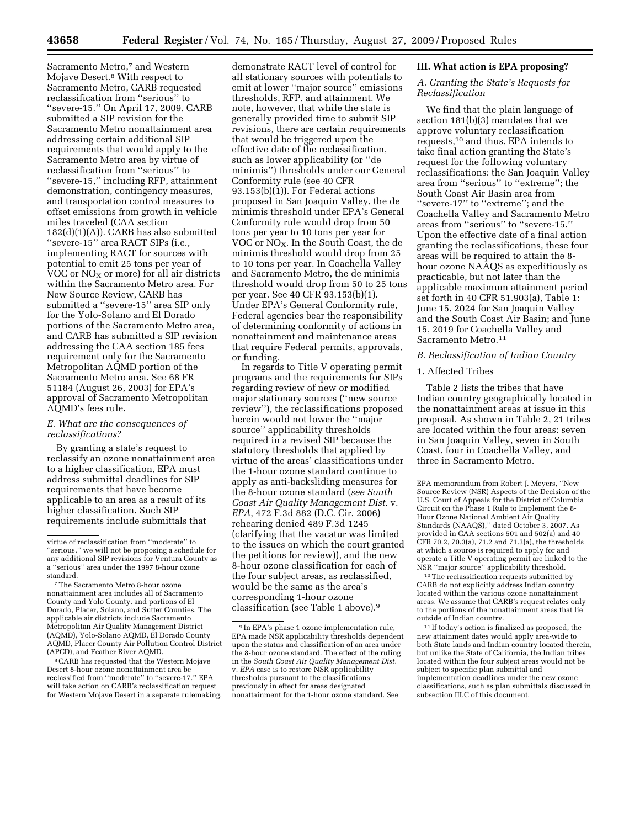Sacramento Metro,<sup>7</sup> and Western Mojave Desert.8 With respect to Sacramento Metro, CARB requested reclassification from ''serious'' to ''severe-15.'' On April 17, 2009, CARB submitted a SIP revision for the Sacramento Metro nonattainment area addressing certain additional SIP requirements that would apply to the Sacramento Metro area by virtue of reclassification from ''serious'' to ''severe-15,'' including RFP, attainment demonstration, contingency measures, and transportation control measures to offset emissions from growth in vehicle miles traveled (CAA section 182(d)(1)(A)). CARB has also submitted ''severe-15'' area RACT SIPs (i.e., implementing RACT for sources with potential to emit 25 tons per year of VOC or  $NO<sub>X</sub>$  or more) for all air districts within the Sacramento Metro area. For New Source Review, CARB has submitted a ''severe-15'' area SIP only for the Yolo-Solano and El Dorado portions of the Sacramento Metro area, and CARB has submitted a SIP revision addressing the CAA section 185 fees requirement only for the Sacramento Metropolitan AQMD portion of the Sacramento Metro area. See 68 FR 51184 (August 26, 2003) for EPA's approval of Sacramento Metropolitan AQMD's fees rule.

## *E. What are the consequences of reclassifications?*

By granting a state's request to reclassify an ozone nonattainment area to a higher classification, EPA must address submittal deadlines for SIP requirements that have become applicable to an area as a result of its higher classification. Such SIP requirements include submittals that

8CARB has requested that the Western Mojave Desert 8-hour ozone nonattainment area be reclassified from ''moderate'' to ''severe-17.'' EPA will take action on CARB's reclassification request for Western Mojave Desert in a separate rulemaking.

demonstrate RACT level of control for all stationary sources with potentials to emit at lower ''major source'' emissions thresholds, RFP, and attainment. We note, however, that while the state is generally provided time to submit SIP revisions, there are certain requirements that would be triggered upon the effective date of the reclassification, such as lower applicability (or ''de minimis'') thresholds under our General Conformity rule (see 40 CFR 93.153(b)(1)). For Federal actions proposed in San Joaquin Valley, the de minimis threshold under EPA's General Conformity rule would drop from 50 tons per year to 10 tons per year for VOC or  $NO<sub>X</sub>$ . In the South Coast, the de minimis threshold would drop from 25 to 10 tons per year. In Coachella Valley and Sacramento Metro, the de minimis threshold would drop from 50 to 25 tons per year. See 40 CFR 93.153(b)(1). Under EPA's General Conformity rule, Federal agencies bear the responsibility of determining conformity of actions in nonattainment and maintenance areas that require Federal permits, approvals, or funding.

In regards to Title V operating permit programs and the requirements for SIPs regarding review of new or modified major stationary sources (''new source review''), the reclassifications proposed herein would not lower the ''major source'' applicability thresholds required in a revised SIP because the statutory thresholds that applied by virtue of the areas' classifications under the 1-hour ozone standard continue to apply as anti-backsliding measures for the 8-hour ozone standard (*see South Coast Air Quality Management Dist.* v. *EPA*, 472 F.3d 882 (D.C. Cir. 2006) rehearing denied 489 F.3d 1245 (clarifying that the vacatur was limited to the issues on which the court granted the petitions for review)), and the new 8-hour ozone classification for each of the four subject areas, as reclassified, would be the same as the area's corresponding 1-hour ozone classification (see Table 1 above).9

#### **III. What action is EPA proposing?**

## *A. Granting the State's Requests for Reclassification*

We find that the plain language of section 181(b)(3) mandates that we approve voluntary reclassification requests,10 and thus, EPA intends to take final action granting the State's request for the following voluntary reclassifications: the San Joaquin Valley area from ''serious'' to ''extreme''; the South Coast Air Basin area from ''severe-17'' to ''extreme''; and the Coachella Valley and Sacramento Metro areas from ''serious'' to ''severe-15.'' Upon the effective date of a final action granting the reclassifications, these four areas will be required to attain the 8 hour ozone NAAQS as expeditiously as practicable, but not later than the applicable maximum attainment period set forth in 40 CFR 51.903(a), Table 1: June 15, 2024 for San Joaquin Valley and the South Coast Air Basin; and June 15, 2019 for Coachella Valley and Sacramento Metro.<sup>11</sup>

#### *B. Reclassification of Indian Country*

## 1. Affected Tribes

Table 2 lists the tribes that have Indian country geographically located in the nonattainment areas at issue in this proposal. As shown in Table 2, 21 tribes are located within the four areas: seven in San Joaquin Valley, seven in South Coast, four in Coachella Valley, and three in Sacramento Metro.

10The reclassification requests submitted by CARB do not explicitly address Indian country located within the various ozone nonattainment areas. We assume that CARB's request relates only to the portions of the nonattainment areas that lie outside of Indian country.

11 If today's action is finalized as proposed, the new attainment dates would apply area-wide to both State lands and Indian country located therein, but unlike the State of California, the Indian tribes located within the four subject areas would not be subject to specific plan submittal and implementation deadlines under the new ozone classifications, such as plan submittals discussed in subsection III.C of this document.

virtue of reclassification from ''moderate'' to ''serious,'' we will not be proposing a schedule for any additional SIP revisions for Ventura County as a ''serious'' area under the 1997 8-hour ozone standard.

<sup>7</sup>The Sacramento Metro 8-hour ozone nonattainment area includes all of Sacramento County and Yolo County, and portions of El Dorado, Placer, Solano, and Sutter Counties. The applicable air districts include Sacramento Metropolitan Air Quality Management District (AQMD), Yolo-Solano AQMD, El Dorado County AQMD, Placer County Air Pollution Control District (APCD), and Feather River AQMD.

<sup>9</sup> In EPA's phase 1 ozone implementation rule, EPA made NSR applicability thresholds dependent upon the status and classification of an area under the 8-hour ozone standard. The effect of the ruling in the *South Coast Air Quality Management Dist.*  v. *EPA* case is to restore NSR applicability thresholds pursuant to the classifications previously in effect for areas designated nonattainment for the 1-hour ozone standard. See

EPA memorandum from Robert J. Meyers, ''New Source Review (NSR) Aspects of the Decision of the U.S. Court of Appeals for the District of Columbia Circuit on the Phase 1 Rule to Implement the 8- Hour Ozone National Ambient Air Quality Standards (NAAQS),'' dated October 3, 2007. As provided in CAA sections 501 and 502(a) and 40 CFR 70.2, 70.3(a), 71.2 and 71.3(a), the thresholds at which a source is required to apply for and operate a Title V operating permit are linked to the NSR ''major source'' applicability threshold.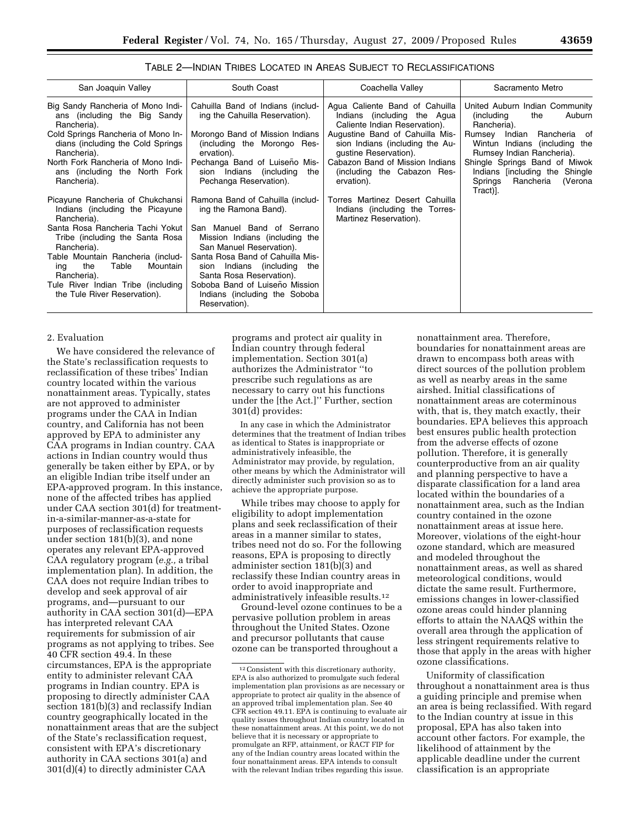| San Joaquin Valley                                                                     | South Coast                                                                                    | Coachella Valley                                                                               | Sacramento Metro                                                                                               |
|----------------------------------------------------------------------------------------|------------------------------------------------------------------------------------------------|------------------------------------------------------------------------------------------------|----------------------------------------------------------------------------------------------------------------|
| Big Sandy Rancheria of Mono Indi-<br>ans (including the Big Sandy<br>Rancheria).       | Cahuilla Band of Indians (includ-<br>ing the Cahuilla Reservation).                            | Agua Caliente Band of Cahuilla<br>Indians (including the Agua<br>Caliente Indian Reservation). | United Auburn Indian Community<br>(including<br>the<br>Auburn<br>Rancheria).                                   |
| Cold Springs Rancheria of Mono In-<br>dians (including the Cold Springs<br>Rancheria). | Morongo Band of Mission Indians<br>(including the Morongo Res-<br>ervation).                   | Augustine Band of Cahuilla Mis-<br>sion Indians (including the Au-<br>gustine Reservation).    | Rumsey<br>Indian<br>Rancheria of<br>Wintun Indians (including the<br>Rumsey Indian Rancheria).                 |
| North Fork Rancheria of Mono Indi-<br>ans (including the North Fork<br>Rancheria).     | Pechanga Band of Luiseño Mis-<br>sion Indians (including<br>the<br>Pechanga Reservation).      | Cabazon Band of Mission Indians<br>(including the Cabazon Res-<br>ervation).                   | Shingle Springs Band of Miwok<br>Indians [including the Shingle<br>Rancheria<br>(Verona<br>Springs<br>Tract)]. |
| Picayune Rancheria of Chukchansi<br>Indians (including the Picayune<br>Rancheria).     | Ramona Band of Cahuilla (includ-<br>ing the Ramona Band).                                      | Torres Martinez Desert Cahuilla<br>Indians (including the Torres-<br>Martinez Reservation).    |                                                                                                                |
| Santa Rosa Rancheria Tachi Yokut<br>Tribe (including the Santa Rosa<br>Rancheria).     | San Manuel Band of Serrano<br>Mission Indians (including the<br>San Manuel Reservation).       |                                                                                                |                                                                                                                |
| Table Mountain Rancheria (includ-<br>Table<br>Mountain<br>the<br>ing<br>Rancheria).    | Santa Rosa Band of Cahuilla Mis-<br>sion Indians (including<br>the<br>Santa Rosa Reservation). |                                                                                                |                                                                                                                |
| Tule River Indian Tribe (including<br>the Tule River Reservation).                     | Soboba Band of Luiseño Mission<br>Indians (including the Soboba<br>Reservation).               |                                                                                                |                                                                                                                |

## 2. Evaluation

We have considered the relevance of the State's reclassification requests to reclassification of these tribes' Indian country located within the various nonattainment areas. Typically, states are not approved to administer programs under the CAA in Indian country, and California has not been approved by EPA to administer any CAA programs in Indian country. CAA actions in Indian country would thus generally be taken either by EPA, or by an eligible Indian tribe itself under an EPA-approved program. In this instance, none of the affected tribes has applied under CAA section 301(d) for treatmentin-a-similar-manner-as-a-state for purposes of reclassification requests under section 181(b)(3), and none operates any relevant EPA-approved CAA regulatory program (*e.g.,* a tribal implementation plan). In addition, the CAA does not require Indian tribes to develop and seek approval of air programs, and—pursuant to our authority in CAA section 301(d)—EPA has interpreted relevant CAA requirements for submission of air programs as not applying to tribes. See 40 CFR section 49.4. In these circumstances, EPA is the appropriate entity to administer relevant CAA programs in Indian country. EPA is proposing to directly administer CAA section 181(b)(3) and reclassify Indian country geographically located in the nonattainment areas that are the subject of the State's reclassification request, consistent with EPA's discretionary authority in CAA sections 301(a) and 301(d)(4) to directly administer CAA

programs and protect air quality in Indian country through federal implementation. Section 301(a) authorizes the Administrator ''to prescribe such regulations as are necessary to carry out his functions under the [the Act.]'' Further, section 301(d) provides:

In any case in which the Administrator determines that the treatment of Indian tribes as identical to States is inappropriate or administratively infeasible, the Administrator may provide, by regulation, other means by which the Administrator will directly administer such provision so as to achieve the appropriate purpose.

While tribes may choose to apply for eligibility to adopt implementation plans and seek reclassification of their areas in a manner similar to states, tribes need not do so. For the following reasons, EPA is proposing to directly administer section 181(b)(3) and reclassify these Indian country areas in order to avoid inappropriate and administratively infeasible results.12

Ground-level ozone continues to be a pervasive pollution problem in areas throughout the United States. Ozone and precursor pollutants that cause ozone can be transported throughout a

nonattainment area. Therefore, boundaries for nonattainment areas are drawn to encompass both areas with direct sources of the pollution problem as well as nearby areas in the same airshed. Initial classifications of nonattainment areas are coterminous with, that is, they match exactly, their boundaries. EPA believes this approach best ensures public health protection from the adverse effects of ozone pollution. Therefore, it is generally counterproductive from an air quality and planning perspective to have a disparate classification for a land area located within the boundaries of a nonattainment area, such as the Indian country contained in the ozone nonattainment areas at issue here. Moreover, violations of the eight-hour ozone standard, which are measured and modeled throughout the nonattainment areas, as well as shared meteorological conditions, would dictate the same result. Furthermore, emissions changes in lower-classified ozone areas could hinder planning efforts to attain the NAAQS within the overall area through the application of less stringent requirements relative to those that apply in the areas with higher ozone classifications.

Uniformity of classification throughout a nonattainment area is thus a guiding principle and premise when an area is being reclassified. With regard to the Indian country at issue in this proposal, EPA has also taken into account other factors. For example, the likelihood of attainment by the applicable deadline under the current classification is an appropriate

<sup>12</sup>Consistent with this discretionary authority, EPA is also authorized to promulgate such federal implementation plan provisions as are necessary or appropriate to protect air quality in the absence of an approved tribal implementation plan. See 40 CFR section 49.11. EPA is continuing to evaluate air quality issues throughout Indian country located in these nonattainment areas. At this point, we do not believe that it is necessary or appropriate to promulgate an RFP, attainment, or RACT FIP for any of the Indian country areas located within the four nonattainment areas. EPA intends to consult with the relevant Indian tribes regarding this issue.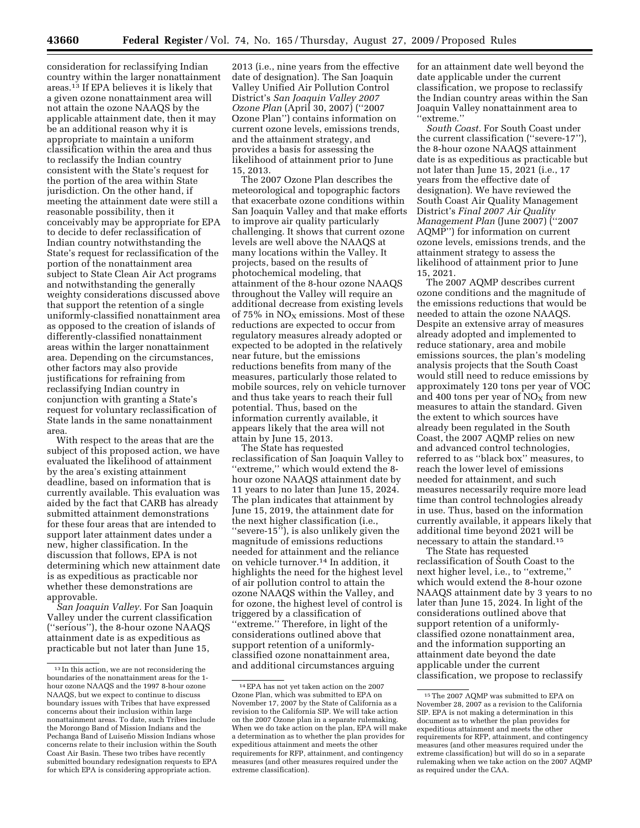consideration for reclassifying Indian country within the larger nonattainment areas.13 If EPA believes it is likely that a given ozone nonattainment area will not attain the ozone NAAQS by the applicable attainment date, then it may be an additional reason why it is appropriate to maintain a uniform classification within the area and thus to reclassify the Indian country consistent with the State's request for the portion of the area within State jurisdiction. On the other hand, if meeting the attainment date were still a reasonable possibility, then it conceivably may be appropriate for EPA to decide to defer reclassification of Indian country notwithstanding the State's request for reclassification of the portion of the nonattainment area subject to State Clean Air Act programs and notwithstanding the generally weighty considerations discussed above that support the retention of a single uniformly-classified nonattainment area as opposed to the creation of islands of differently-classified nonattainment areas within the larger nonattainment area. Depending on the circumstances, other factors may also provide justifications for refraining from reclassifying Indian country in conjunction with granting a State's request for voluntary reclassification of State lands in the same nonattainment area.

With respect to the areas that are the subject of this proposed action, we have evaluated the likelihood of attainment by the area's existing attainment deadline, based on information that is currently available. This evaluation was aided by the fact that CARB has already submitted attainment demonstrations for these four areas that are intended to support later attainment dates under a new, higher classification. In the discussion that follows, EPA is not determining which new attainment date is as expeditious as practicable nor whether these demonstrations are approvable.

*San Joaquin Valley.* For San Joaquin Valley under the current classification (''serious''), the 8-hour ozone NAAQS attainment date is as expeditious as practicable but not later than June 15,

2013 (i.e., nine years from the effective date of designation). The San Joaquin Valley Unified Air Pollution Control District's *San Joaquin Valley 2007 Ozone Plan* (April 30, 2007) (''2007 Ozone Plan'') contains information on current ozone levels, emissions trends, and the attainment strategy, and provides a basis for assessing the likelihood of attainment prior to June 15, 2013.

The 2007 Ozone Plan describes the meteorological and topographic factors that exacerbate ozone conditions within San Joaquin Valley and that make efforts to improve air quality particularly challenging. It shows that current ozone levels are well above the NAAQS at many locations within the Valley. It projects, based on the results of photochemical modeling, that attainment of the 8-hour ozone NAAQS throughout the Valley will require an additional decrease from existing levels of 75% in  $NO<sub>x</sub>$  emissions. Most of these reductions are expected to occur from regulatory measures already adopted or expected to be adopted in the relatively near future, but the emissions reductions benefits from many of the measures, particularly those related to mobile sources, rely on vehicle turnover and thus take years to reach their full potential. Thus, based on the information currently available, it appears likely that the area will not attain by June 15, 2013.

The State has requested reclassification of San Joaquin Valley to ''extreme,'' which would extend the 8 hour ozone NAAQS attainment date by 11 years to no later than June 15, 2024. The plan indicates that attainment by June 15, 2019, the attainment date for the next higher classification (i.e., ''severe-15''), is also unlikely given the magnitude of emissions reductions needed for attainment and the reliance on vehicle turnover.14 In addition, it highlights the need for the highest level of air pollution control to attain the ozone NAAQS within the Valley, and for ozone, the highest level of control is triggered by a classification of ''extreme.'' Therefore, in light of the considerations outlined above that support retention of a uniformlyclassified ozone nonattainment area, and additional circumstances arguing

for an attainment date well beyond the date applicable under the current classification, we propose to reclassify the Indian country areas within the San Joaquin Valley nonattainment area to ''extreme.''

*South Coast.* For South Coast under the current classification (''severe-17''), the 8-hour ozone NAAQS attainment date is as expeditious as practicable but not later than June 15, 2021 (i.e., 17 years from the effective date of designation). We have reviewed the South Coast Air Quality Management District's *Final 2007 Air Quality Management Plan* (June 2007) (''2007 AQMP'') for information on current ozone levels, emissions trends, and the attainment strategy to assess the likelihood of attainment prior to June 15, 2021.

The 2007 AQMP describes current ozone conditions and the magnitude of the emissions reductions that would be needed to attain the ozone NAAQS. Despite an extensive array of measures already adopted and implemented to reduce stationary, area and mobile emissions sources, the plan's modeling analysis projects that the South Coast would still need to reduce emissions by approximately 120 tons per year of VOC and 400 tons per year of  $NO<sub>x</sub>$  from new measures to attain the standard. Given the extent to which sources have already been regulated in the South Coast, the 2007 AQMP relies on new and advanced control technologies, referred to as ''black box'' measures, to reach the lower level of emissions needed for attainment, and such measures necessarily require more lead time than control technologies already in use. Thus, based on the information currently available, it appears likely that additional time beyond 2021 will be necessary to attain the standard.15

The State has requested reclassification of South Coast to the next higher level, i.e., to ''extreme,'' which would extend the 8-hour ozone NAAQS attainment date by 3 years to no later than June 15, 2024. In light of the considerations outlined above that support retention of a uniformlyclassified ozone nonattainment area, and the information supporting an attainment date beyond the date applicable under the current classification, we propose to reclassify

<sup>13</sup> In this action, we are not reconsidering the boundaries of the nonattainment areas for the 1 hour ozone NAAQS and the 1997 8-hour ozone NAAQS, but we expect to continue to discuss boundary issues with Tribes that have expressed concerns about their inclusion within large nonattainment areas. To date, such Tribes include the Morongo Band of Mission Indians and the Pechanga Band of Luiseño Mission Indians whose concerns relate to their inclusion within the South Coast Air Basin. These two tribes have recently submitted boundary redesignation requests to EPA for which EPA is considering appropriate action.

<sup>14</sup>EPA has not yet taken action on the 2007 Ozone Plan, which was submitted to EPA on November 17, 2007 by the State of California as a revision to the California SIP. We will take action on the 2007 Ozone plan in a separate rulemaking. When we do take action on the plan, EPA will make a determination as to whether the plan provides for expeditious attainment and meets the other requirements for RFP, attainment, and contingency measures (and other measures required under the extreme classification).

<sup>15</sup>The 2007 AQMP was submitted to EPA on November 28, 2007 as a revision to the California SIP. EPA is not making a determination in this document as to whether the plan provides for expeditious attainment and meets the other requirements for RFP, attainment, and contingency measures (and other measures required under the extreme classification) but will do so in a separate rulemaking when we take action on the 2007 AQMP as required under the CAA.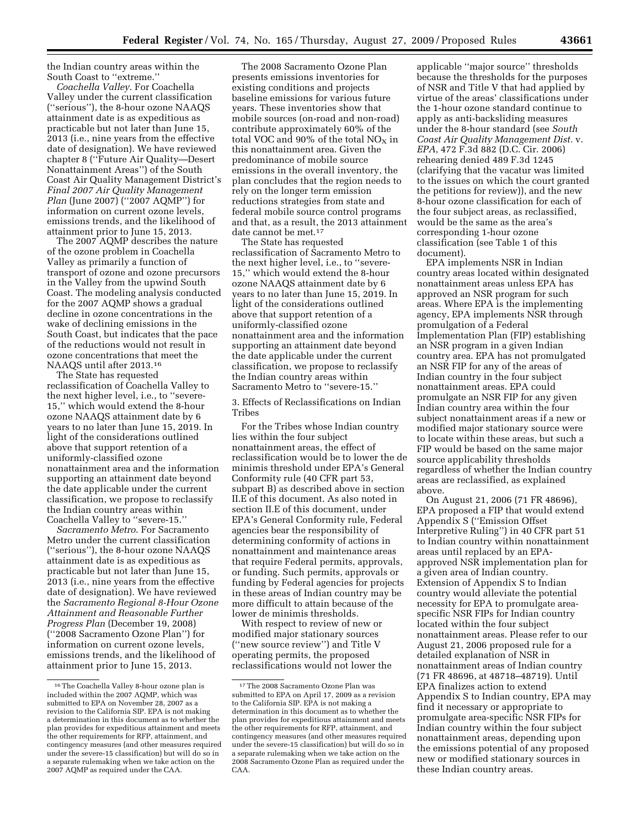the Indian country areas within the South Coast to ''extreme.''

*Coachella Valley*. For Coachella Valley under the current classification (''serious''), the 8-hour ozone NAAQS attainment date is as expeditious as practicable but not later than June 15, 2013 (i.e., nine years from the effective date of designation). We have reviewed chapter 8 (''Future Air Quality—Desert Nonattainment Areas'') of the South Coast Air Quality Management District's *Final 2007 Air Quality Management Plan* (June 2007) (''2007 AQMP'') for information on current ozone levels, emissions trends, and the likelihood of attainment prior to June 15, 2013.

The 2007 AQMP describes the nature of the ozone problem in Coachella Valley as primarily a function of transport of ozone and ozone precursors in the Valley from the upwind South Coast. The modeling analysis conducted for the 2007 AQMP shows a gradual decline in ozone concentrations in the wake of declining emissions in the South Coast, but indicates that the pace of the reductions would not result in ozone concentrations that meet the NAAQS until after 2013.16

The State has requested reclassification of Coachella Valley to the next higher level, i.e., to ''severe-15,'' which would extend the 8-hour ozone NAAQS attainment date by 6 years to no later than June 15, 2019. In light of the considerations outlined above that support retention of a uniformly-classified ozone nonattainment area and the information supporting an attainment date beyond the date applicable under the current classification, we propose to reclassify the Indian country areas within Coachella Valley to ''severe-15.''

*Sacramento Metro*. For Sacramento Metro under the current classification (''serious''), the 8-hour ozone NAAQS attainment date is as expeditious as practicable but not later than June 15, 2013 (i.e., nine years from the effective date of designation). We have reviewed the *Sacramento Regional 8-Hour Ozone Attainment and Reasonable Further Progress Plan* (December 19, 2008) (''2008 Sacramento Ozone Plan'') for information on current ozone levels, emissions trends, and the likelihood of attainment prior to June 15, 2013.

The 2008 Sacramento Ozone Plan presents emissions inventories for existing conditions and projects baseline emissions for various future years. These inventories show that mobile sources (on-road and non-road) contribute approximately 60% of the total VOC and 90% of the total  $NO<sub>X</sub>$  in this nonattainment area. Given the predominance of mobile source emissions in the overall inventory, the plan concludes that the region needs to rely on the longer term emission reductions strategies from state and federal mobile source control programs and that, as a result, the 2013 attainment date cannot be met.<sup>17</sup>

The State has requested reclassification of Sacramento Metro to the next higher level, i.e., to ''severe-15,'' which would extend the 8-hour ozone NAAQS attainment date by 6 years to no later than June 15, 2019. In light of the considerations outlined above that support retention of a uniformly-classified ozone nonattainment area and the information supporting an attainment date beyond the date applicable under the current classification, we propose to reclassify the Indian country areas within Sacramento Metro to ''severe-15.''

3. Effects of Reclassifications on Indian Tribes

For the Tribes whose Indian country lies within the four subject nonattainment areas, the effect of reclassification would be to lower the de minimis threshold under EPA's General Conformity rule (40 CFR part 53, subpart B) as described above in section II.E of this document. As also noted in section II.E of this document, under EPA's General Conformity rule, Federal agencies bear the responsibility of determining conformity of actions in nonattainment and maintenance areas that require Federal permits, approvals, or funding. Such permits, approvals or funding by Federal agencies for projects in these areas of Indian country may be more difficult to attain because of the lower de minimis thresholds.

With respect to review of new or modified major stationary sources (''new source review'') and Title V operating permits, the proposed reclassifications would not lower the

applicable ''major source'' thresholds because the thresholds for the purposes of NSR and Title V that had applied by virtue of the areas' classifications under the 1-hour ozone standard continue to apply as anti-backsliding measures under the 8-hour standard (see *South Coast Air Quality Management Dist.* v. *EPA*, 472 F.3d 882 (D.C. Cir. 2006) rehearing denied 489 F.3d 1245 (clarifying that the vacatur was limited to the issues on which the court granted the petitions for review)), and the new 8-hour ozone classification for each of the four subject areas, as reclassified, would be the same as the area's corresponding 1-hour ozone classification (see Table 1 of this document).

EPA implements NSR in Indian country areas located within designated nonattainment areas unless EPA has approved an NSR program for such areas. Where EPA is the implementing agency, EPA implements NSR through promulgation of a Federal Implementation Plan (FIP) establishing an NSR program in a given Indian country area. EPA has not promulgated an NSR FIP for any of the areas of Indian country in the four subject nonattainment areas. EPA could promulgate an NSR FIP for any given Indian country area within the four subject nonattainment areas if a new or modified major stationary source were to locate within these areas, but such a FIP would be based on the same major source applicability thresholds regardless of whether the Indian country areas are reclassified, as explained above.

On August 21, 2006 (71 FR 48696), EPA proposed a FIP that would extend Appendix S (''Emission Offset Interpretive Ruling'') in 40 CFR part 51 to Indian country within nonattainment areas until replaced by an EPAapproved NSR implementation plan for a given area of Indian country. Extension of Appendix S to Indian country would alleviate the potential necessity for EPA to promulgate areaspecific NSR FIPs for Indian country located within the four subject nonattainment areas. Please refer to our August 21, 2006 proposed rule for a detailed explanation of NSR in nonattainment areas of Indian country (71 FR 48696, at 48718–48719). Until EPA finalizes action to extend Appendix S to Indian country, EPA may find it necessary or appropriate to promulgate area-specific NSR FIPs for Indian country within the four subject nonattainment areas, depending upon the emissions potential of any proposed new or modified stationary sources in these Indian country areas.

<sup>16</sup>The Coachella Valley 8-hour ozone plan is included within the 2007 AQMP, which was submitted to EPA on November 28, 2007 as a revision to the California SIP. EPA is not making a determination in this document as to whether the plan provides for expeditious attainment and meets the other requirements for RFP, attainment, and contingency measures (and other measures required under the severe-15 classification) but will do so in a separate rulemaking when we take action on the 2007 AQMP as required under the CAA.

<sup>17</sup>The 2008 Sacramento Ozone Plan was submitted to EPA on April 17, 2009 as a revision to the California SIP. EPA is not making a determination in this document as to whether the plan provides for expeditious attainment and meets the other requirements for RFP, attainment, and contingency measures (and other measures required under the severe-15 classification) but will do so in a separate rulemaking when we take action on the 2008 Sacramento Ozone Plan as required under the CAA.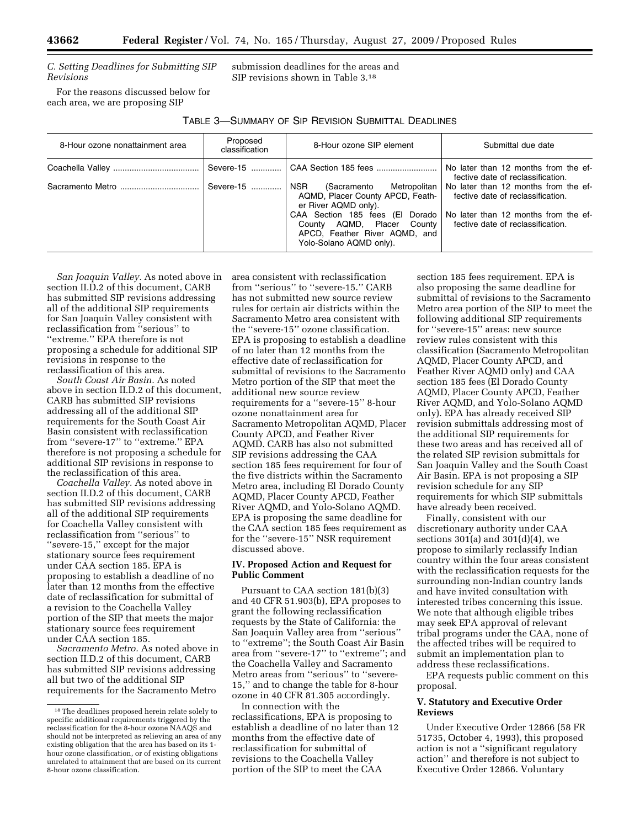## *C. Setting Deadlines for Submitting SIP Revisions*

For the reasons discussed below for each area, we are proposing SIP

submission deadlines for the areas and SIP revisions shown in Table 3.18

TABLE 3—SUMMARY OF SIP REVISION SUBMITTAL DEADLINES

| 8-Hour ozone nonattainment area | Proposed<br>classification | 8-Hour ozone SIP element                                                                                                                                                                             | Submittal due date                                                                                                                                                                |
|---------------------------------|----------------------------|------------------------------------------------------------------------------------------------------------------------------------------------------------------------------------------------------|-----------------------------------------------------------------------------------------------------------------------------------------------------------------------------------|
|                                 | Severe-15                  | Severe-15    CAA Section 185 fees<br>∣NSR                                                                                                                                                            | No later than 12 months from the ef-<br>fective date of reclassification.<br>(Sacramento Metropolitan   No later than 12 months from the ef-<br>fective date of reclassification. |
|                                 |                            | AQMD, Placer County APCD, Feath-<br>er River AQMD only).                                                                                                                                             |                                                                                                                                                                                   |
|                                 |                            | CAA Section 185 fees (El Dorado   No later than 12 months from the ef-<br>County AQMD, Placer County   fective date of reclassification.<br>APCD, Feather River AQMD, and<br>Yolo-Solano AQMD only). |                                                                                                                                                                                   |

*San Joaquin Valley.* As noted above in area consistent with reclassification section II.D.2 of this document, CARB has submitted SIP revisions addressing all of the additional SIP requirements for San Joaquin Valley consistent with reclassification from ''serious'' to ''extreme.'' EPA therefore is not proposing a schedule for additional SIP revisions in response to the reclassification of this area.

*South Coast Air Basin.* As noted above in section II.D.2 of this document, CARB has submitted SIP revisions addressing all of the additional SIP requirements for the South Coast Air Basin consistent with reclassification from ''severe-17'' to ''extreme.'' EPA therefore is not proposing a schedule for additional SIP revisions in response to the reclassification of this area.

*Coachella Valley.* As noted above in section II.D.2 of this document, CARB has submitted SIP revisions addressing all of the additional SIP requirements for Coachella Valley consistent with reclassification from ''serious'' to ''severe-15,'' except for the major stationary source fees requirement under CAA section 185. EPA is proposing to establish a deadline of no later than 12 months from the effective date of reclassification for submittal of a revision to the Coachella Valley portion of the SIP that meets the major stationary source fees requirement under CAA section 185.

*Sacramento Metro.* As noted above in section II.D.2 of this document, CARB has submitted SIP revisions addressing all but two of the additional SIP requirements for the Sacramento Metro

from "serious" to "severe-15." CARB has not submitted new source review rules for certain air districts within the Sacramento Metro area consistent with the ''severe-15'' ozone classification. EPA is proposing to establish a deadline of no later than 12 months from the effective date of reclassification for submittal of revisions to the Sacramento Metro portion of the SIP that meet the additional new source review requirements for a ''severe-15'' 8-hour ozone nonattainment area for Sacramento Metropolitan AQMD, Placer County APCD, and Feather River AQMD. CARB has also not submitted SIP revisions addressing the CAA section 185 fees requirement for four of the five districts within the Sacramento Metro area, including El Dorado County AQMD, Placer County APCD, Feather River AQMD, and Yolo-Solano AQMD. EPA is proposing the same deadline for the CAA section 185 fees requirement as for the ''severe-15'' NSR requirement discussed above.

#### **IV. Proposed Action and Request for Public Comment**

Pursuant to CAA section 181(b)(3) and 40 CFR 51.903(b), EPA proposes to grant the following reclassification requests by the State of California: the San Joaquin Valley area from ''serious'' to ''extreme''; the South Coast Air Basin area from ''severe-17'' to ''extreme''; and the Coachella Valley and Sacramento Metro areas from ''serious'' to ''severe-15,'' and to change the table for 8-hour ozone in 40 CFR 81.305 accordingly.

In connection with the reclassifications, EPA is proposing to establish a deadline of no later than 12 months from the effective date of reclassification for submittal of revisions to the Coachella Valley portion of the SIP to meet the CAA

section 185 fees requirement. EPA is also proposing the same deadline for submittal of revisions to the Sacramento Metro area portion of the SIP to meet the following additional SIP requirements for ''severe-15'' areas: new source review rules consistent with this classification (Sacramento Metropolitan AQMD, Placer County APCD, and Feather River AQMD only) and CAA section 185 fees (El Dorado County AQMD, Placer County APCD, Feather River AQMD, and Yolo-Solano AQMD only). EPA has already received SIP revision submittals addressing most of the additional SIP requirements for these two areas and has received all of the related SIP revision submittals for San Joaquin Valley and the South Coast Air Basin. EPA is not proposing a SIP revision schedule for any SIP requirements for which SIP submittals have already been received.

Finally, consistent with our discretionary authority under CAA sections 301(a) and 301(d)(4), we propose to similarly reclassify Indian country within the four areas consistent with the reclassification requests for the surrounding non-Indian country lands and have invited consultation with interested tribes concerning this issue. We note that although eligible tribes may seek EPA approval of relevant tribal programs under the CAA, none of the affected tribes will be required to submit an implementation plan to address these reclassifications.

EPA requests public comment on this proposal.

## **V. Statutory and Executive Order Reviews**

Under Executive Order 12866 (58 FR 51735, October 4, 1993), this proposed action is not a ''significant regulatory action'' and therefore is not subject to Executive Order 12866. Voluntary

<sup>18</sup>The deadlines proposed herein relate solely to specific additional requirements triggered by the reclassification for the 8-hour ozone NAAQS and should not be interpreted as relieving an area of any existing obligation that the area has based on its 1 hour ozone classification, or of existing obligations unrelated to attainment that are based on its current 8-hour ozone classification.